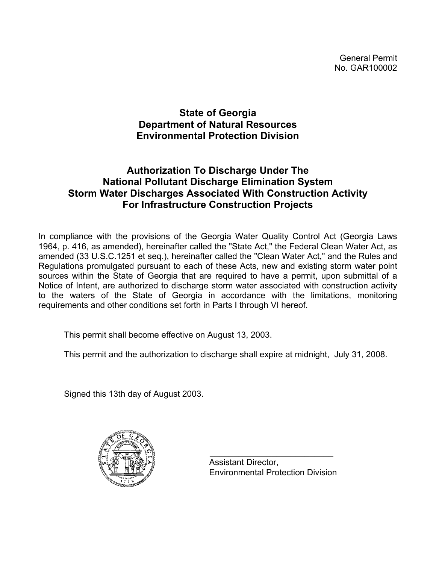General Permit No. GAR100002

# **State of Georgia Department of Natural Resources Environmental Protection Division**

# **Authorization To Discharge Under The National Pollutant Discharge Elimination System Storm Water Discharges Associated With Construction Activity For Infrastructure Construction Projects**

In compliance with the provisions of the Georgia Water Quality Control Act (Georgia Laws 1964, p. 416, as amended), hereinafter called the "State Act," the Federal Clean Water Act, as amended (33 U.S.C.1251 et seq.), hereinafter called the "Clean Water Act," and the Rules and Regulations promulgated pursuant to each of these Acts, new and existing storm water point sources within the State of Georgia that are required to have a permit, upon submittal of a Notice of Intent, are authorized to discharge storm water associated with construction activity to the waters of the State of Georgia in accordance with the limitations, monitoring requirements and other conditions set forth in Parts I through VI hereof.

This permit shall become effective on August 13, 2003.

This permit and the authorization to discharge shall expire at midnight, July 31, 2008.

Signed this 13th day of August 2003.



 $\mathcal{L}_\text{max} = \frac{1}{2} \sum_{i=1}^{n} \frac{1}{2} \sum_{i=1}^{n} \frac{1}{2} \sum_{i=1}^{n} \frac{1}{2} \sum_{i=1}^{n} \frac{1}{2} \sum_{i=1}^{n} \frac{1}{2} \sum_{i=1}^{n} \frac{1}{2} \sum_{i=1}^{n} \frac{1}{2} \sum_{i=1}^{n} \frac{1}{2} \sum_{i=1}^{n} \frac{1}{2} \sum_{i=1}^{n} \frac{1}{2} \sum_{i=1}^{n} \frac{1}{2} \sum_{i=1}^{n} \frac{1$  Assistant Director, Environmental Protection Division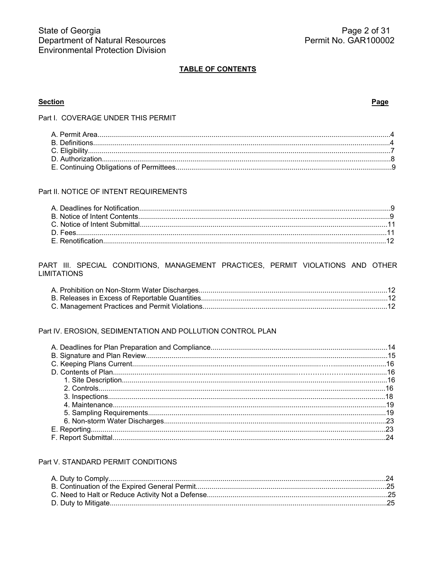#### **TABLE OF CONTENTS**

### **Section**

#### Page

Part I. COVERAGE UNDER THIS PERMIT

### Part II. NOTICE OF INTENT REQUIREMENTS

#### PART III. SPECIAL CONDITIONS, MANAGEMENT PRACTICES, PERMIT VIOLATIONS AND OTHER **LIMITATIONS**

### Part IV. EROSION, SEDIMENTATION AND POLLUTION CONTROL PLAN

#### Part V. STANDARD PERMIT CONDITIONS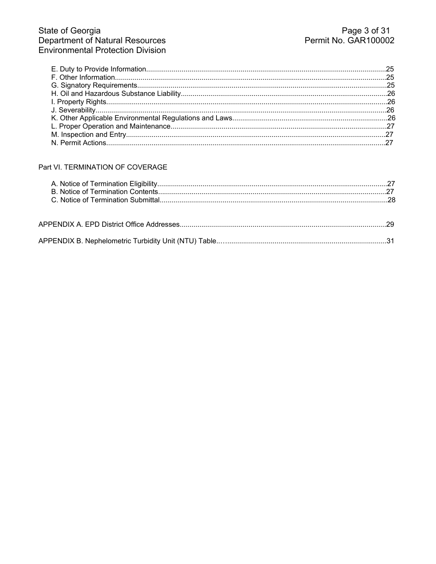## Part VI. TERMINATION OF COVERAGE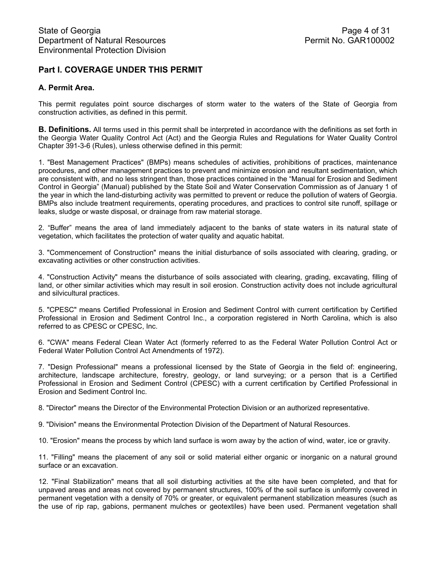## **Part I. COVERAGE UNDER THIS PERMIT**

## **A. Permit Area.**

This permit regulates point source discharges of storm water to the waters of the State of Georgia from construction activities, as defined in this permit.

**B. Definitions.** All terms used in this permit shall be interpreted in accordance with the definitions as set forth in the Georgia Water Quality Control Act (Act) and the Georgia Rules and Regulations for Water Quality Control Chapter 391-3-6 (Rules), unless otherwise defined in this permit:

1. "Best Management Practices" (BMPs) means schedules of activities, prohibitions of practices, maintenance procedures, and other management practices to prevent and minimize erosion and resultant sedimentation, which are consistent with, and no less stringent than, those practices contained in the "Manual for Erosion and Sediment Control in Georgia" (Manual) published by the State Soil and Water Conservation Commission as of January 1 of the year in which the land-disturbing activity was permitted to prevent or reduce the pollution of waters of Georgia. BMPs also include treatment requirements, operating procedures, and practices to control site runoff, spillage or leaks, sludge or waste disposal, or drainage from raw material storage.

2. "Buffer" means the area of land immediately adjacent to the banks of state waters in its natural state of vegetation, which facilitates the protection of water quality and aquatic habitat.

3. "Commencement of Construction" means the initial disturbance of soils associated with clearing, grading, or excavating activities or other construction activities.

4. "Construction Activity" means the disturbance of soils associated with clearing, grading, excavating, filling of land, or other similar activities which may result in soil erosion. Construction activity does not include agricultural and silvicultural practices.

5. "CPESC" means Certified Professional in Erosion and Sediment Control with current certification by Certified Professional in Erosion and Sediment Control Inc., a corporation registered in North Carolina, which is also referred to as CPESC or CPESC, Inc.

6. "CWA" means Federal Clean Water Act (formerly referred to as the Federal Water Pollution Control Act or Federal Water Pollution Control Act Amendments of 1972).

7. "Design Professional" means a professional licensed by the State of Georgia in the field of: engineering, architecture, landscape architecture, forestry, geology, or land surveying; or a person that is a Certified Professional in Erosion and Sediment Control (CPESC) with a current certification by Certified Professional in Erosion and Sediment Control Inc.

8. "Director" means the Director of the Environmental Protection Division or an authorized representative.

9. "Division" means the Environmental Protection Division of the Department of Natural Resources.

10. "Erosion" means the process by which land surface is worn away by the action of wind, water, ice or gravity.

11. "Filling" means the placement of any soil or solid material either organic or inorganic on a natural ground surface or an excavation.

12. "Final Stabilization" means that all soil disturbing activities at the site have been completed, and that for unpaved areas and areas not covered by permanent structures, 100% of the soil surface is uniformly covered in permanent vegetation with a density of 70% or greater, or equivalent permanent stabilization measures (such as the use of rip rap, gabions, permanent mulches or geotextiles) have been used. Permanent vegetation shall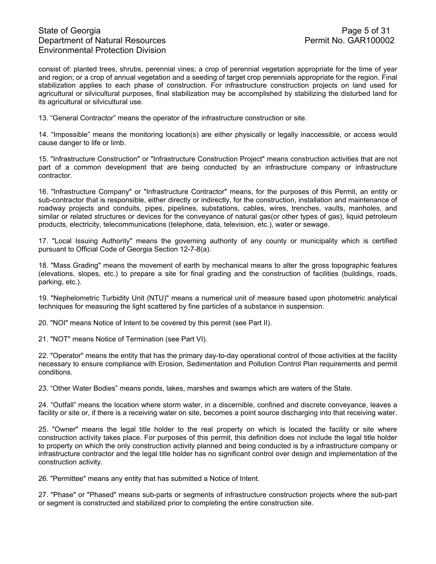## State of Georgia **Page 5 of 31** Department of Natural Resources **Permit No. GAR100002** Environmental Protection Division

consist of: planted trees, shrubs, perennial vines; a crop of perennial vegetation appropriate for the time of year and region; or a crop of annual vegetation and a seeding of target crop perennials appropriate for the region. Final stabilization applies to each phase of construction. For infrastructure construction projects on land used for agricultural or silvicultural purposes, final stabilization may be accomplished by stabilizing the disturbed land for its agricultural or silvicultural use.

13. "General Contractor" means the operator of the infrastructure construction or site.

14. "Impossible" means the monitoring location(s) are either physically or legally inaccessible, or access would cause danger to life or limb.

15. "Infrastructure Construction" or "Infrastructure Construction Project" means construction activities that are not part of a common development that are being conducted by an infrastructure company or infrastructure contractor.

16. "Infrastructure Company" or "Infrastructure Contractor" means, for the purposes of this Permit, an entity or sub-contractor that is responsible, either directly or indirectly, for the construction, installation and maintenance of roadway projects and conduits, pipes, pipelines, substations, cables, wires, trenches, vaults, manholes, and similar or related structures or devices for the conveyance of natural gas(or other types of gas), liquid petroleum products, electricity, telecommunications (telephone, data, television, etc.), water or sewage.

17. "Local Issuing Authority" means the governing authority of any county or municipality which is certified pursuant to Official Code of Georgia Section 12-7-8(a).

18. "Mass Grading" means the movement of earth by mechanical means to alter the gross topographic features (elevations, slopes, etc.) to prepare a site for final grading and the construction of facilities (buildings, roads, parking, etc.).

19. "Nephelometric Turbidity Unit (NTU)" means a numerical unit of measure based upon photometric analytical techniques for measuring the light scattered by fine particles of a substance in suspension.

20. "NOI" means Notice of Intent to be covered by this permit (see Part II).

21. "NOT" means Notice of Termination (see Part VI).

22. "Operator" means the entity that has the primary day-to-day operational control of those activities at the facility necessary to ensure compliance with Erosion, Sedimentation and Pollution Control Plan requirements and permit conditions.

23. "Other Water Bodies" means ponds, lakes, marshes and swamps which are waters of the State.

24. "Outfall" means the location where storm water, in a discernible, confined and discrete conveyance, leaves a facility or site or, if there is a receiving water on site, becomes a point source discharging into that receiving water.

25. "Owner" means the legal title holder to the real property on which is located the facility or site where construction activity takes place. For purposes of this permit, this definition does not include the legal title holder to property on which the only construction activity planned and being conducted is by a infrastructure company or infrastructure contractor and the legal title holder has no significant control over design and implementation of the construction activity.

26. "Permittee" means any entity that has submitted a Notice of Intent.

27. "Phase" or "Phased" means sub-parts or segments of infrastructure construction projects where the sub-part or segment is constructed and stabilized prior to completing the entire construction site.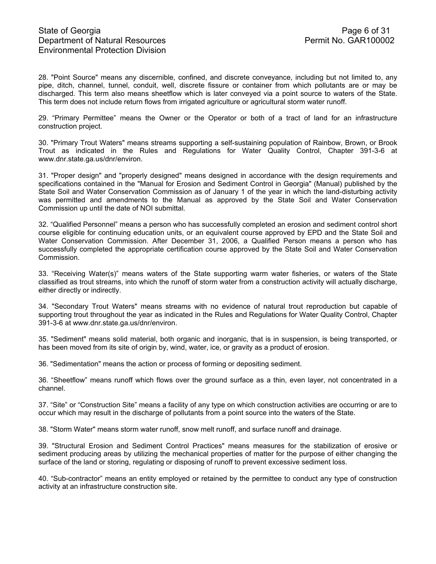28. "Point Source" means any discernible, confined, and discrete conveyance, including but not limited to, any pipe, ditch, channel, tunnel, conduit, well, discrete fissure or container from which pollutants are or may be discharged. This term also means sheetflow which is later conveyed via a point source to waters of the State. This term does not include return flows from irrigated agriculture or agricultural storm water runoff.

29. "Primary Permittee" means the Owner or the Operator or both of a tract of land for an infrastructure construction project.

30. "Primary Trout Waters" means streams supporting a self-sustaining population of Rainbow, Brown, or Brook Trout as indicated in the Rules and Regulations for Water Quality Control, Chapter 391-3-6 at www.dnr.state.ga.us/dnr/environ.

31. "Proper design" and "properly designed" means designed in accordance with the design requirements and specifications contained in the "Manual for Erosion and Sediment Control in Georgia" (Manual) published by the State Soil and Water Conservation Commission as of January 1 of the year in which the land-disturbing activity was permitted and amendments to the Manual as approved by the State Soil and Water Conservation Commission up until the date of NOI submittal.

32. "Qualified Personnel" means a person who has successfully completed an erosion and sediment control short course eligible for continuing education units, or an equivalent course approved by EPD and the State Soil and Water Conservation Commission. After December 31, 2006, a Qualified Person means a person who has successfully completed the appropriate certification course approved by the State Soil and Water Conservation Commission.

33. "Receiving Water(s)" means waters of the State supporting warm water fisheries, or waters of the State classified as trout streams, into which the runoff of storm water from a construction activity will actually discharge, either directly or indirectly.

34. "Secondary Trout Waters" means streams with no evidence of natural trout reproduction but capable of supporting trout throughout the year as indicated in the Rules and Regulations for Water Quality Control, Chapter 391-3-6 at www.dnr.state.ga.us/dnr/environ.

35. "Sediment" means solid material, both organic and inorganic, that is in suspension, is being transported, or has been moved from its site of origin by, wind, water, ice, or gravity as a product of erosion.

36. "Sedimentation" means the action or process of forming or depositing sediment.

36. "Sheetflow" means runoff which flows over the ground surface as a thin, even layer, not concentrated in a channel.

37. "Site" or "Construction Site" means a facility of any type on which construction activities are occurring or are to occur which may result in the discharge of pollutants from a point source into the waters of the State.

38. "Storm Water" means storm water runoff, snow melt runoff, and surface runoff and drainage.

39. "Structural Erosion and Sediment Control Practices" means measures for the stabilization of erosive or sediment producing areas by utilizing the mechanical properties of matter for the purpose of either changing the surface of the land or storing, regulating or disposing of runoff to prevent excessive sediment loss.

40. "Sub-contractor" means an entity employed or retained by the permittee to conduct any type of construction activity at an infrastructure construction site.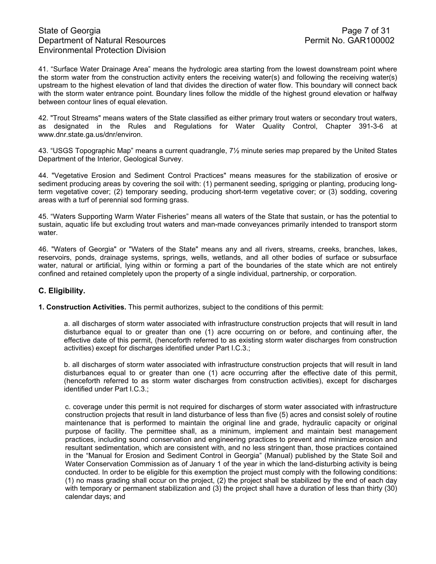41. "Surface Water Drainage Area" means the hydrologic area starting from the lowest downstream point where the storm water from the construction activity enters the receiving water(s) and following the receiving water(s) upstream to the highest elevation of land that divides the direction of water flow. This boundary will connect back with the storm water entrance point. Boundary lines follow the middle of the highest ground elevation or halfway between contour lines of equal elevation.

42. "Trout Streams" means waters of the State classified as either primary trout waters or secondary trout waters, as designated in the Rules and Regulations for Water Quality Control, Chapter 391-3-6 at www.dnr.state.ga.us/dnr/environ.

43. "USGS Topographic Map" means a current quadrangle, 7½ minute series map prepared by the United States Department of the Interior, Geological Survey.

44. "Vegetative Erosion and Sediment Control Practices" means measures for the stabilization of erosive or sediment producing areas by covering the soil with: (1) permanent seeding, sprigging or planting, producing longterm vegetative cover; (2) temporary seeding, producing short-term vegetative cover; or (3) sodding, covering areas with a turf of perennial sod forming grass.

45. "Waters Supporting Warm Water Fisheries" means all waters of the State that sustain, or has the potential to sustain, aquatic life but excluding trout waters and man-made conveyances primarily intended to transport storm water.

46. "Waters of Georgia" or "Waters of the State" means any and all rivers, streams, creeks, branches, lakes, reservoirs, ponds, drainage systems, springs, wells, wetlands, and all other bodies of surface or subsurface water, natural or artificial, lying within or forming a part of the boundaries of the state which are not entirely confined and retained completely upon the property of a single individual, partnership, or corporation.

### **C. Eligibility.**

**1. Construction Activities.** This permit authorizes, subject to the conditions of this permit:

a. all discharges of storm water associated with infrastructure construction projects that will result in land disturbance equal to or greater than one (1) acre occurring on or before, and continuing after, the effective date of this permit, (henceforth referred to as existing storm water discharges from construction activities) except for discharges identified under Part I.C.3.;

b. all discharges of storm water associated with infrastructure construction projects that will result in land disturbances equal to or greater than one (1) acre occurring after the effective date of this permit, (henceforth referred to as storm water discharges from construction activities), except for discharges identified under Part I.C.3.;

c. coverage under this permit is not required for discharges of storm water associated with infrastructure construction projects that result in land disturbance of less than five (5) acres and consist solely of routine maintenance that is performed to maintain the original line and grade, hydraulic capacity or original purpose of facility. The permittee shall, as a minimum, implement and maintain best management practices, including sound conservation and engineering practices to prevent and minimize erosion and resultant sedimentation, which are consistent with, and no less stringent than, those practices contained in the "Manual for Erosion and Sediment Control in Georgia" (Manual) published by the State Soil and Water Conservation Commission as of January 1 of the year in which the land-disturbing activity is being conducted. In order to be eligible for this exemption the project must comply with the following conditions: (1) no mass grading shall occur on the project, (2) the project shall be stabilized by the end of each day with temporary or permanent stabilization and (3) the project shall have a duration of less than thirty (30) calendar days; and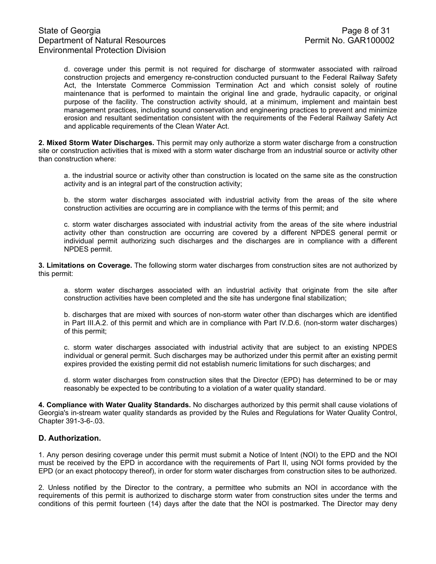d. coverage under this permit is not required for discharge of stormwater associated with railroad construction projects and emergency re-construction conducted pursuant to the Federal Railway Safety Act, the Interstate Commerce Commission Termination Act and which consist solely of routine maintenance that is performed to maintain the original line and grade, hydraulic capacity, or original purpose of the facility. The construction activity should, at a minimum, implement and maintain best management practices, including sound conservation and engineering practices to prevent and minimize erosion and resultant sedimentation consistent with the requirements of the Federal Railway Safety Act and applicable requirements of the Clean Water Act.

**2. Mixed Storm Water Discharges.** This permit may only authorize a storm water discharge from a construction site or construction activities that is mixed with a storm water discharge from an industrial source or activity other than construction where:

a. the industrial source or activity other than construction is located on the same site as the construction activity and is an integral part of the construction activity;

b. the storm water discharges associated with industrial activity from the areas of the site where construction activities are occurring are in compliance with the terms of this permit; and

c. storm water discharges associated with industrial activity from the areas of the site where industrial activity other than construction are occurring are covered by a different NPDES general permit or individual permit authorizing such discharges and the discharges are in compliance with a different NPDES permit.

**3. Limitations on Coverage.** The following storm water discharges from construction sites are not authorized by this permit:

a. storm water discharges associated with an industrial activity that originate from the site after construction activities have been completed and the site has undergone final stabilization;

b. discharges that are mixed with sources of non-storm water other than discharges which are identified in Part III.A.2. of this permit and which are in compliance with Part IV.D.6. (non-storm water discharges) of this permit;

c. storm water discharges associated with industrial activity that are subject to an existing NPDES individual or general permit. Such discharges may be authorized under this permit after an existing permit expires provided the existing permit did not establish numeric limitations for such discharges; and

d. storm water discharges from construction sites that the Director (EPD) has determined to be or may reasonably be expected to be contributing to a violation of a water quality standard.

**4. Compliance with Water Quality Standards.** No discharges authorized by this permit shall cause violations of Georgia's in-stream water quality standards as provided by the Rules and Regulations for Water Quality Control, Chapter 391-3-6-.03.

#### **D. Authorization.**

1. Any person desiring coverage under this permit must submit a Notice of Intent (NOI) to the EPD and the NOI must be received by the EPD in accordance with the requirements of Part II, using NOI forms provided by the EPD (or an exact photocopy thereof), in order for storm water discharges from construction sites to be authorized.

2. Unless notified by the Director to the contrary, a permittee who submits an NOI in accordance with the requirements of this permit is authorized to discharge storm water from construction sites under the terms and conditions of this permit fourteen (14) days after the date that the NOI is postmarked. The Director may deny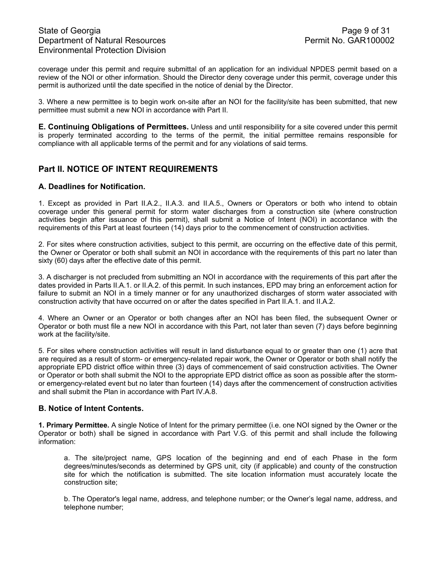## State of Georgia **Page 9 of 31** Department of Natural Resources **Permit No. GAR100002** Environmental Protection Division

coverage under this permit and require submittal of an application for an individual NPDES permit based on a review of the NOI or other information. Should the Director deny coverage under this permit, coverage under this permit is authorized until the date specified in the notice of denial by the Director.

3. Where a new permittee is to begin work on-site after an NOI for the facility/site has been submitted, that new permittee must submit a new NOI in accordance with Part II.

**E. Continuing Obligations of Permittees.** Unless and until responsibility for a site covered under this permit is properly terminated according to the terms of the permit, the initial permittee remains responsible for compliance with all applicable terms of the permit and for any violations of said terms.

## **Part II. NOTICE OF INTENT REQUIREMENTS**

#### **A. Deadlines for Notification.**

1. Except as provided in Part II.A.2., II.A.3. and II.A.5., Owners or Operators or both who intend to obtain coverage under this general permit for storm water discharges from a construction site (where construction activities begin after issuance of this permit), shall submit a Notice of Intent (NOI) in accordance with the requirements of this Part at least fourteen (14) days prior to the commencement of construction activities.

2. For sites where construction activities, subject to this permit, are occurring on the effective date of this permit, the Owner or Operator or both shall submit an NOI in accordance with the requirements of this part no later than sixty (60) days after the effective date of this permit.

3. A discharger is not precluded from submitting an NOI in accordance with the requirements of this part after the dates provided in Parts II.A.1. or II.A.2. of this permit. In such instances, EPD may bring an enforcement action for failure to submit an NOI in a timely manner or for any unauthorized discharges of storm water associated with construction activity that have occurred on or after the dates specified in Part II.A.1. and II.A.2.

4. Where an Owner or an Operator or both changes after an NOI has been filed, the subsequent Owner or Operator or both must file a new NOI in accordance with this Part, not later than seven (7) days before beginning work at the facility/site.

5. For sites where construction activities will result in land disturbance equal to or greater than one (1) acre that are required as a result of storm- or emergency-related repair work, the Owner or Operator or both shall notify the appropriate EPD district office within three (3) days of commencement of said construction activities. The Owner or Operator or both shall submit the NOI to the appropriate EPD district office as soon as possible after the stormor emergency-related event but no later than fourteen (14) days after the commencement of construction activities and shall submit the Plan in accordance with Part IV.A.8.

#### **B. Notice of Intent Contents.**

**1. Primary Permittee.** A single Notice of Intent for the primary permittee (i.e. one NOI signed by the Owner or the Operator or both) shall be signed in accordance with Part V.G. of this permit and shall include the following information:

a. The site/project name, GPS location of the beginning and end of each Phase in the form degrees/minutes/seconds as determined by GPS unit, city (if applicable) and county of the construction site for which the notification is submitted. The site location information must accurately locate the construction site;

b. The Operator's legal name, address, and telephone number; or the Owner's legal name, address, and telephone number;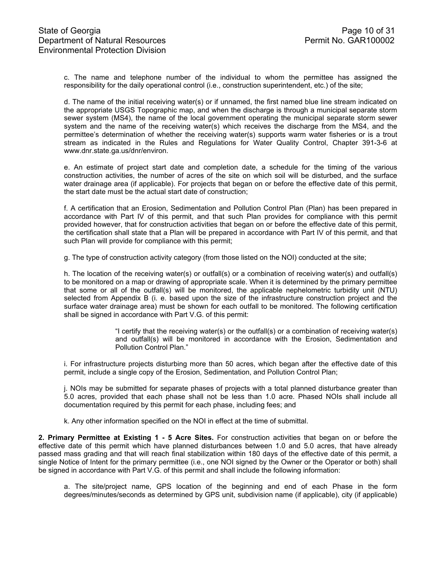c. The name and telephone number of the individual to whom the permittee has assigned the responsibility for the daily operational control (i.e., construction superintendent, etc.) of the site;

d. The name of the initial receiving water(s) or if unnamed, the first named blue line stream indicated on the appropriate USGS Topographic map, and when the discharge is through a municipal separate storm sewer system (MS4), the name of the local government operating the municipal separate storm sewer system and the name of the receiving water(s) which receives the discharge from the MS4, and the permittee's determination of whether the receiving water(s) supports warm water fisheries or is a trout stream as indicated in the Rules and Regulations for Water Quality Control, Chapter 391-3-6 at www.dnr.state.ga.us/dnr/environ.

e. An estimate of project start date and completion date, a schedule for the timing of the various construction activities, the number of acres of the site on which soil will be disturbed, and the surface water drainage area (if applicable). For projects that began on or before the effective date of this permit, the start date must be the actual start date of construction;

f. A certification that an Erosion, Sedimentation and Pollution Control Plan (Plan) has been prepared in accordance with Part IV of this permit, and that such Plan provides for compliance with this permit provided however, that for construction activities that began on or before the effective date of this permit, the certification shall state that a Plan will be prepared in accordance with Part IV of this permit, and that such Plan will provide for compliance with this permit;

g. The type of construction activity category (from those listed on the NOI) conducted at the site;

h. The location of the receiving water(s) or outfall(s) or a combination of receiving water(s) and outfall(s) to be monitored on a map or drawing of appropriate scale. When it is determined by the primary permittee that some or all of the outfall(s) will be monitored, the applicable nephelometric turbidity unit (NTU) selected from Appendix B (i. e. based upon the size of the infrastructure construction project and the surface water drainage area) must be shown for each outfall to be monitored. The following certification shall be signed in accordance with Part V.G. of this permit:

> "I certify that the receiving water(s) or the outfall(s) or a combination of receiving water(s) and outfall(s) will be monitored in accordance with the Erosion, Sedimentation and Pollution Control Plan."

i. For infrastructure projects disturbing more than 50 acres, which began after the effective date of this permit, include a single copy of the Erosion, Sedimentation, and Pollution Control Plan;

j. NOIs may be submitted for separate phases of projects with a total planned disturbance greater than 5.0 acres, provided that each phase shall not be less than 1.0 acre. Phased NOIs shall include all documentation required by this permit for each phase, including fees; and

k. Any other information specified on the NOI in effect at the time of submittal.

**2. Primary Permittee at Existing 1 - 5 Acre Sites.** For construction activities that began on or before the effective date of this permit which have planned disturbances between 1.0 and 5.0 acres, that have already passed mass grading and that will reach final stabilization within 180 days of the effective date of this permit, a single Notice of Intent for the primary permittee (i.e., one NOI signed by the Owner or the Operator or both) shall be signed in accordance with Part V.G. of this permit and shall include the following information:

a. The site/project name, GPS location of the beginning and end of each Phase in the form degrees/minutes/seconds as determined by GPS unit, subdivision name (if applicable), city (if applicable)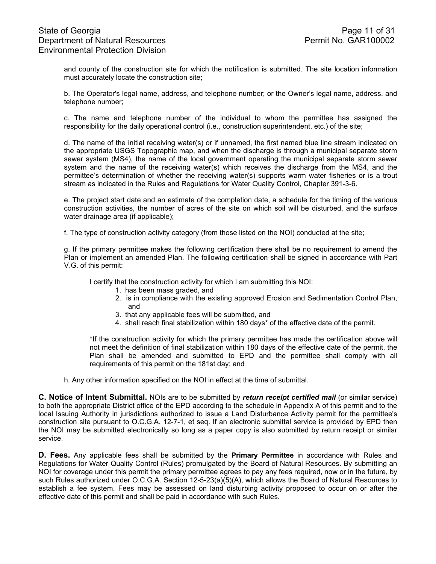and county of the construction site for which the notification is submitted. The site location information must accurately locate the construction site;

b. The Operator's legal name, address, and telephone number; or the Owner's legal name, address, and telephone number;

c. The name and telephone number of the individual to whom the permittee has assigned the responsibility for the daily operational control (i.e., construction superintendent, etc.) of the site;

d. The name of the initial receiving water(s) or if unnamed, the first named blue line stream indicated on the appropriate USGS Topographic map, and when the discharge is through a municipal separate storm sewer system (MS4), the name of the local government operating the municipal separate storm sewer system and the name of the receiving water(s) which receives the discharge from the MS4, and the permittee's determination of whether the receiving water(s) supports warm water fisheries or is a trout stream as indicated in the Rules and Regulations for Water Quality Control, Chapter 391-3-6.

e. The project start date and an estimate of the completion date, a schedule for the timing of the various construction activities, the number of acres of the site on which soil will be disturbed, and the surface water drainage area (if applicable);

f. The type of construction activity category (from those listed on the NOI) conducted at the site;

g. If the primary permittee makes the following certification there shall be no requirement to amend the Plan or implement an amended Plan. The following certification shall be signed in accordance with Part V.G. of this permit:

I certify that the construction activity for which I am submitting this NOI:

- 1. has been mass graded, and
- 2. is in compliance with the existing approved Erosion and Sedimentation Control Plan, and
- 3. that any applicable fees will be submitted, and
- 4. shall reach final stabilization within 180 days\* of the effective date of the permit.

\*If the construction activity for which the primary permittee has made the certification above will not meet the definition of final stabilization within 180 days of the effective date of the permit, the Plan shall be amended and submitted to EPD and the permittee shall comply with all requirements of this permit on the 181st day; and

h. Any other information specified on the NOI in effect at the time of submittal.

**C. Notice of Intent Submittal.** NOIs are to be submitted by *return receipt certified mail* (or similar service) to both the appropriate District office of the EPD according to the schedule in Appendix A of this permit and to the local Issuing Authority in jurisdictions authorized to issue a Land Disturbance Activity permit for the permittee's construction site pursuant to O.C.G.A. 12-7-1, et seq. If an electronic submittal service is provided by EPD then the NOI may be submitted electronically so long as a paper copy is also submitted by return receipt or similar service.

**D. Fees.** Any applicable fees shall be submitted by the **Primary Permittee** in accordance with Rules and Regulations for Water Quality Control (Rules) promulgated by the Board of Natural Resources. By submitting an NOI for coverage under this permit the primary permittee agrees to pay any fees required, now or in the future, by such Rules authorized under O.C.G.A. Section 12-5-23(a)(5)(A), which allows the Board of Natural Resources to establish a fee system. Fees may be assessed on land disturbing activity proposed to occur on or after the effective date of this permit and shall be paid in accordance with such Rules.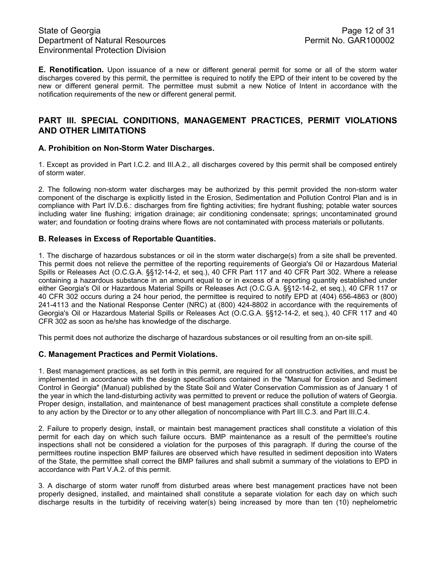**E. Renotification.** Upon issuance of a new or different general permit for some or all of the storm water discharges covered by this permit, the permittee is required to notify the EPD of their intent to be covered by the new or different general permit. The permittee must submit a new Notice of Intent in accordance with the notification requirements of the new or different general permit.

## **PART III. SPECIAL CONDITIONS, MANAGEMENT PRACTICES, PERMIT VIOLATIONS AND OTHER LIMITATIONS**

### **A. Prohibition on Non-Storm Water Discharges.**

1. Except as provided in Part I.C.2. and III.A.2., all discharges covered by this permit shall be composed entirely of storm water.

2. The following non-storm water discharges may be authorized by this permit provided the non-storm water component of the discharge is explicitly listed in the Erosion, Sedimentation and Pollution Control Plan and is in compliance with Part IV.D.6.: discharges from fire fighting activities; fire hydrant flushing; potable water sources including water line flushing; irrigation drainage; air conditioning condensate; springs; uncontaminated ground water; and foundation or footing drains where flows are not contaminated with process materials or pollutants.

### **B. Releases in Excess of Reportable Quantities.**

1. The discharge of hazardous substances or oil in the storm water discharge(s) from a site shall be prevented. This permit does not relieve the permittee of the reporting requirements of Georgia's Oil or Hazardous Material Spills or Releases Act (O.C.G.A. §§12-14-2, et seq.), 40 CFR Part 117 and 40 CFR Part 302. Where a release containing a hazardous substance in an amount equal to or in excess of a reporting quantity established under either Georgia's Oil or Hazardous Material Spills or Releases Act (O.C.G.A. §§12-14-2, et seq.), 40 CFR 117 or 40 CFR 302 occurs during a 24 hour period, the permittee is required to notify EPD at (404) 656-4863 or (800) 241-4113 and the National Response Center (NRC) at (800) 424-8802 in accordance with the requirements of Georgia's Oil or Hazardous Material Spills or Releases Act (O.C.G.A. §§12-14-2, et seq.), 40 CFR 117 and 40 CFR 302 as soon as he/she has knowledge of the discharge.

This permit does not authorize the discharge of hazardous substances or oil resulting from an on-site spill.

### **C. Management Practices and Permit Violations.**

1. Best management practices, as set forth in this permit, are required for all construction activities, and must be implemented in accordance with the design specifications contained in the "Manual for Erosion and Sediment Control in Georgia" (Manual) published by the State Soil and Water Conservation Commission as of January 1 of the year in which the land-disturbing activity was permitted to prevent or reduce the pollution of waters of Georgia. Proper design, installation, and maintenance of best management practices shall constitute a complete defense to any action by the Director or to any other allegation of noncompliance with Part III.C.3. and Part III.C.4.

2. Failure to properly design, install, or maintain best management practices shall constitute a violation of this permit for each day on which such failure occurs. BMP maintenance as a result of the permittee's routine inspections shall not be considered a violation for the purposes of this paragraph. If during the course of the permittees routine inspection BMP failures are observed which have resulted in sediment deposition into Waters of the State, the permittee shall correct the BMP failures and shall submit a summary of the violations to EPD in accordance with Part V.A.2. of this permit.

3. A discharge of storm water runoff from disturbed areas where best management practices have not been properly designed, installed, and maintained shall constitute a separate violation for each day on which such discharge results in the turbidity of receiving water(s) being increased by more than ten (10) nephelometric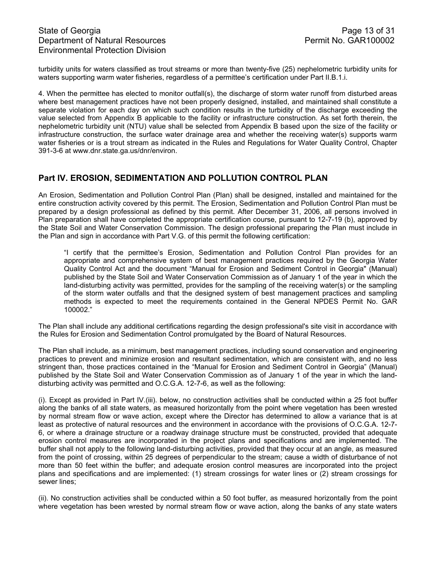# State of Georgia **Page 13 of 31** Department of Natural Resources **Permit No. GAR100002** Environmental Protection Division

turbidity units for waters classified as trout streams or more than twenty-five (25) nephelometric turbidity units for waters supporting warm water fisheries, regardless of a permittee's certification under Part II.B.1.i.

4. When the permittee has elected to monitor outfall(s), the discharge of storm water runoff from disturbed areas where best management practices have not been properly designed, installed, and maintained shall constitute a separate violation for each day on which such condition results in the turbidity of the discharge exceeding the value selected from Appendix B applicable to the facility or infrastructure construction. As set forth therein, the nephelometric turbidity unit (NTU) value shall be selected from Appendix B based upon the size of the facility or infrastructure construction, the surface water drainage area and whether the receiving water(s) supports warm water fisheries or is a trout stream as indicated in the Rules and Regulations for Water Quality Control, Chapter 391-3-6 at www.dnr.state.ga.us/dnr/environ.

# **Part IV. EROSION, SEDIMENTATION AND POLLUTION CONTROL PLAN**

An Erosion, Sedimentation and Pollution Control Plan (Plan) shall be designed, installed and maintained for the entire construction activity covered by this permit. The Erosion, Sedimentation and Pollution Control Plan must be prepared by a design professional as defined by this permit. After December 31, 2006, all persons involved in Plan preparation shall have completed the appropriate certification course, pursuant to 12-7-19 (b), approved by the State Soil and Water Conservation Commission. The design professional preparing the Plan must include in the Plan and sign in accordance with Part V.G. of this permit the following certification:

"I certify that the permittee's Erosion, Sedimentation and Pollution Control Plan provides for an appropriate and comprehensive system of best management practices required by the Georgia Water Quality Control Act and the document "Manual for Erosion and Sediment Control in Georgia" (Manual) published by the State Soil and Water Conservation Commission as of January 1 of the year in which the land-disturbing activity was permitted, provides for the sampling of the receiving water(s) or the sampling of the storm water outfalls and that the designed system of best management practices and sampling methods is expected to meet the requirements contained in the General NPDES Permit No. GAR 100002."

The Plan shall include any additional certifications regarding the design professional's site visit in accordance with the Rules for Erosion and Sedimentation Control promulgated by the Board of Natural Resources.

The Plan shall include, as a minimum, best management practices, including sound conservation and engineering practices to prevent and minimize erosion and resultant sedimentation, which are consistent with, and no less stringent than, those practices contained in the "Manual for Erosion and Sediment Control in Georgia" (Manual) published by the State Soil and Water Conservation Commission as of January 1 of the year in which the landdisturbing activity was permitted and O.C.G.A. 12-7-6, as well as the following:

(i). Except as provided in Part IV.(iii). below, no construction activities shall be conducted within a 25 foot buffer along the banks of all state waters, as measured horizontally from the point where vegetation has been wrested by normal stream flow or wave action, except where the Director has determined to allow a variance that is at least as protective of natural resources and the environment in accordance with the provisions of O.C.G.A. 12-7- 6, or where a drainage structure or a roadway drainage structure must be constructed, provided that adequate erosion control measures are incorporated in the project plans and specifications and are implemented. The buffer shall not apply to the following land-disturbing activities, provided that they occur at an angle, as measured from the point of crossing, within 25 degrees of perpendicular to the stream; cause a width of disturbance of not more than 50 feet within the buffer; and adequate erosion control measures are incorporated into the project plans and specifications and are implemented: (1) stream crossings for water lines or (2) stream crossings for sewer lines;

(ii). No construction activities shall be conducted within a 50 foot buffer, as measured horizontally from the point where vegetation has been wrested by normal stream flow or wave action, along the banks of any state waters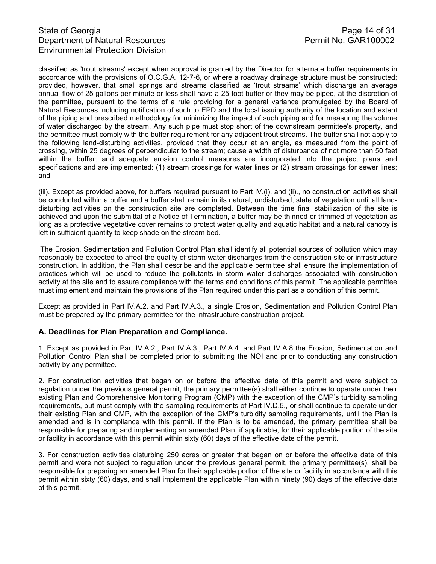# State of Georgia Page 14 of 31<br>Department of Natural Resources Permit No. GAR100002 Department of Natural Resources Environmental Protection Division

classified as 'trout streams' except when approval is granted by the Director for alternate buffer requirements in accordance with the provisions of O.C.G.A. 12-7-6, or where a roadway drainage structure must be constructed; provided, however, that small springs and streams classified as 'trout streams' which discharge an average annual flow of 25 gallons per minute or less shall have a 25 foot buffer or they may be piped, at the discretion of the permittee, pursuant to the terms of a rule providing for a general variance promulgated by the Board of Natural Resources including notification of such to EPD and the local issuing authority of the location and extent of the piping and prescribed methodology for minimizing the impact of such piping and for measuring the volume of water discharged by the stream. Any such pipe must stop short of the downstream permittee's property, and the permittee must comply with the buffer requirement for any adjacent trout streams. The buffer shall not apply to the following land-disturbing activities, provided that they occur at an angle, as measured from the point of crossing, within 25 degrees of perpendicular to the stream; cause a width of disturbance of not more than 50 feet within the buffer; and adequate erosion control measures are incorporated into the project plans and specifications and are implemented: (1) stream crossings for water lines or (2) stream crossings for sewer lines; and

(iii). Except as provided above, for buffers required pursuant to Part IV.(i). and (ii)., no construction activities shall be conducted within a buffer and a buffer shall remain in its natural, undisturbed, state of vegetation until all landdisturbing activities on the construction site are completed. Between the time final stabilization of the site is achieved and upon the submittal of a Notice of Termination, a buffer may be thinned or trimmed of vegetation as long as a protective vegetative cover remains to protect water quality and aquatic habitat and a natural canopy is left in sufficient quantity to keep shade on the stream bed.

 The Erosion, Sedimentation and Pollution Control Plan shall identify all potential sources of pollution which may reasonably be expected to affect the quality of storm water discharges from the construction site or infrastructure construction. In addition, the Plan shall describe and the applicable permittee shall ensure the implementation of practices which will be used to reduce the pollutants in storm water discharges associated with construction activity at the site and to assure compliance with the terms and conditions of this permit. The applicable permittee must implement and maintain the provisions of the Plan required under this part as a condition of this permit.

Except as provided in Part IV.A.2. and Part IV.A.3., a single Erosion, Sedimentation and Pollution Control Plan must be prepared by the primary permittee for the infrastructure construction project.

### **A. Deadlines for Plan Preparation and Compliance.**

1. Except as provided in Part IV.A.2., Part IV.A.3., Part IV.A.4. and Part IV.A.8 the Erosion, Sedimentation and Pollution Control Plan shall be completed prior to submitting the NOI and prior to conducting any construction activity by any permittee.

2. For construction activities that began on or before the effective date of this permit and were subject to regulation under the previous general permit, the primary permittee(s) shall either continue to operate under their existing Plan and Comprehensive Monitoring Program (CMP) with the exception of the CMP's turbidity sampling requirements, but must comply with the sampling requirements of Part IV.D.5., or shall continue to operate under their existing Plan and CMP, with the exception of the CMP's turbidity sampling requirements, until the Plan is amended and is in compliance with this permit. If the Plan is to be amended, the primary permittee shall be responsible for preparing and implementing an amended Plan, if applicable, for their applicable portion of the site or facility in accordance with this permit within sixty (60) days of the effective date of the permit.

3. For construction activities disturbing 250 acres or greater that began on or before the effective date of this permit and were not subject to regulation under the previous general permit, the primary permittee(s), shall be responsible for preparing an amended Plan for their applicable portion of the site or facility in accordance with this permit within sixty (60) days, and shall implement the applicable Plan within ninety (90) days of the effective date of this permit.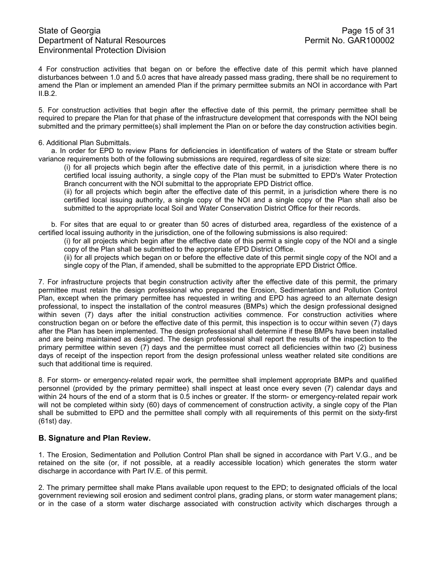4 For construction activities that began on or before the effective date of this permit which have planned disturbances between 1.0 and 5.0 acres that have already passed mass grading, there shall be no requirement to amend the Plan or implement an amended Plan if the primary permittee submits an NOI in accordance with Part II.B.2.

5. For construction activities that begin after the effective date of this permit, the primary permittee shall be required to prepare the Plan for that phase of the infrastructure development that corresponds with the NOI being submitted and the primary permittee(s) shall implement the Plan on or before the day construction activities begin.

#### 6. Additional Plan Submittals.

a. In order for EPD to review Plans for deficiencies in identification of waters of the State or stream buffer variance requirements both of the following submissions are required, regardless of site size:

(i) for all projects which begin after the effective date of this permit, in a jurisdiction where there is no certified local issuing authority, a single copy of the Plan must be submitted to EPD's Water Protection Branch concurrent with the NOI submittal to the appropriate EPD District office.

(ii) for all projects which begin after the effective date of this permit, in a jurisdiction where there is no certified local issuing authority, a single copy of the NOI and a single copy of the Plan shall also be submitted to the appropriate local Soil and Water Conservation District Office for their records.

b. For sites that are equal to or greater than 50 acres of disturbed area, regardless of the existence of a certified local issuing authority in the jurisdiction, one of the following submissions is also required:

(i) for all projects which begin after the effective date of this permit a single copy of the NOI and a single copy of the Plan shall be submitted to the appropriate EPD District Office.

(ii) for all projects which began on or before the effective date of this permit single copy of the NOI and a single copy of the Plan, if amended, shall be submitted to the appropriate EPD District Office.

7. For infrastructure projects that begin construction activity after the effective date of this permit, the primary permittee must retain the design professional who prepared the Erosion, Sedimentation and Pollution Control Plan, except when the primary permittee has requested in writing and EPD has agreed to an alternate design professional, to inspect the installation of the control measures (BMPs) which the design professional designed within seven (7) days after the initial construction activities commence. For construction activities where construction began on or before the effective date of this permit, this inspection is to occur within seven (7) days after the Plan has been implemented. The design professional shall determine if these BMPs have been installed and are being maintained as designed. The design professional shall report the results of the inspection to the primary permittee within seven (7) days and the permittee must correct all deficiencies within two (2) business days of receipt of the inspection report from the design professional unless weather related site conditions are such that additional time is required.

8. For storm- or emergency-related repair work, the permittee shall implement appropriate BMPs and qualified personnel (provided by the primary permittee) shall inspect at least once every seven (7) calendar days and within 24 hours of the end of a storm that is 0.5 inches or greater. If the storm- or emergency-related repair work will not be completed within sixty (60) days of commencement of construction activity, a single copy of the Plan shall be submitted to EPD and the permittee shall comply with all requirements of this permit on the sixty-first (61st) day.

### **B. Signature and Plan Review.**

1. The Erosion, Sedimentation and Pollution Control Plan shall be signed in accordance with Part V.G., and be retained on the site (or, if not possible, at a readily accessible location) which generates the storm water discharge in accordance with Part IV.E. of this permit.

2. The primary permittee shall make Plans available upon request to the EPD; to designated officials of the local government reviewing soil erosion and sediment control plans, grading plans, or storm water management plans; or in the case of a storm water discharge associated with construction activity which discharges through a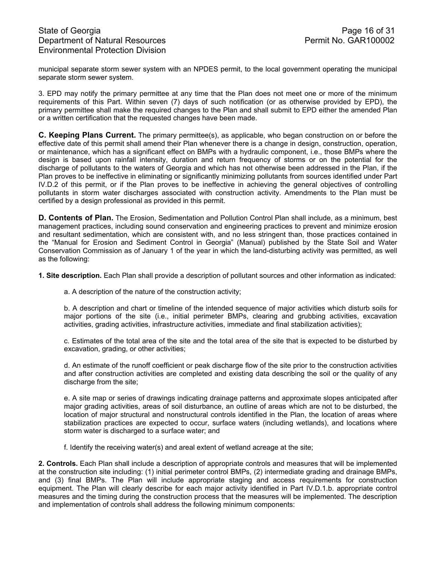# State of Georgia **Page 16 of 31** Department of Natural Resources **Permit No. GAR100002** Environmental Protection Division

municipal separate storm sewer system with an NPDES permit, to the local government operating the municipal separate storm sewer system.

3. EPD may notify the primary permittee at any time that the Plan does not meet one or more of the minimum requirements of this Part. Within seven (7) days of such notification (or as otherwise provided by EPD), the primary permittee shall make the required changes to the Plan and shall submit to EPD either the amended Plan or a written certification that the requested changes have been made.

**C. Keeping Plans Current.** The primary permittee(s), as applicable, who began construction on or before the effective date of this permit shall amend their Plan whenever there is a change in design, construction, operation, or maintenance, which has a significant effect on BMPs with a hydraulic component, i.e., those BMPs where the design is based upon rainfall intensity, duration and return frequency of storms or on the potential for the discharge of pollutants to the waters of Georgia and which has not otherwise been addressed in the Plan, if the Plan proves to be ineffective in eliminating or significantly minimizing pollutants from sources identified under Part IV.D.2 of this permit, or if the Plan proves to be ineffective in achieving the general objectives of controlling pollutants in storm water discharges associated with construction activity. Amendments to the Plan must be certified by a design professional as provided in this permit.

**D. Contents of Plan.** The Erosion, Sedimentation and Pollution Control Plan shall include, as a minimum, best management practices, including sound conservation and engineering practices to prevent and minimize erosion and resultant sedimentation, which are consistent with, and no less stringent than, those practices contained in the "Manual for Erosion and Sediment Control in Georgia" (Manual) published by the State Soil and Water Conservation Commission as of January 1 of the year in which the land-disturbing activity was permitted, as well as the following:

**1. Site description.** Each Plan shall provide a description of pollutant sources and other information as indicated:

a. A description of the nature of the construction activity;

b. A description and chart or timeline of the intended sequence of major activities which disturb soils for major portions of the site (i.e., initial perimeter BMPs, clearing and grubbing activities, excavation activities, grading activities, infrastructure activities, immediate and final stabilization activities);

c. Estimates of the total area of the site and the total area of the site that is expected to be disturbed by excavation, grading, or other activities;

d. An estimate of the runoff coefficient or peak discharge flow of the site prior to the construction activities and after construction activities are completed and existing data describing the soil or the quality of any discharge from the site;

e. A site map or series of drawings indicating drainage patterns and approximate slopes anticipated after major grading activities, areas of soil disturbance, an outline of areas which are not to be disturbed, the location of major structural and nonstructural controls identified in the Plan, the location of areas where stabilization practices are expected to occur, surface waters (including wetlands), and locations where storm water is discharged to a surface water; and

f. Identify the receiving water(s) and areal extent of wetland acreage at the site;

**2. Controls.** Each Plan shall include a description of appropriate controls and measures that will be implemented at the construction site including: (1) initial perimeter control BMPs, (2) intermediate grading and drainage BMPs, and (3) final BMPs. The Plan will include appropriate staging and access requirements for construction equipment. The Plan will clearly describe for each major activity identified in Part IV.D.1.b. appropriate control measures and the timing during the construction process that the measures will be implemented. The description and implementation of controls shall address the following minimum components: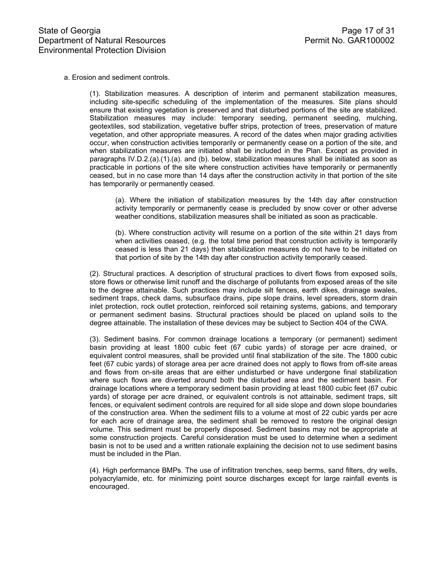a. Erosion and sediment controls.

(1). Stabilization measures. A description of interim and permanent stabilization measures, including site-specific scheduling of the implementation of the measures. Site plans should ensure that existing vegetation is preserved and that disturbed portions of the site are stabilized. Stabilization measures may include: temporary seeding, permanent seeding, mulching, geotextiles, sod stabilization, vegetative buffer strips, protection of trees, preservation of mature vegetation, and other appropriate measures. A record of the dates when major grading activities occur, when construction activities temporarily or permanently cease on a portion of the site, and when stabilization measures are initiated shall be included in the Plan. Except as provided in paragraphs IV.D.2.(a).(1).(a). and (b). below, stabilization measures shall be initiated as soon as practicable in portions of the site where construction activities have temporarily or permanently ceased, but in no case more than 14 days after the construction activity in that portion of the site has temporarily or permanently ceased.

(a). Where the initiation of stabilization measures by the 14th day after construction activity temporarily or permanently cease is precluded by snow cover or other adverse weather conditions, stabilization measures shall be initiated as soon as practicable.

(b). Where construction activity will resume on a portion of the site within 21 days from when activities ceased, (e.g. the total time period that construction activity is temporarily ceased is less than 21 days) then stabilization measures do not have to be initiated on that portion of site by the 14th day after construction activity temporarily ceased.

(2). Structural practices. A description of structural practices to divert flows from exposed soils, store flows or otherwise limit runoff and the discharge of pollutants from exposed areas of the site to the degree attainable. Such practices may include silt fences, earth dikes, drainage swales, sediment traps, check dams, subsurface drains, pipe slope drains, level spreaders, storm drain inlet protection, rock outlet protection, reinforced soil retaining systems, gabions, and temporary or permanent sediment basins. Structural practices should be placed on upland soils to the degree attainable. The installation of these devices may be subject to Section 404 of the CWA.

(3). Sediment basins. For common drainage locations a temporary (or permanent) sediment basin providing at least 1800 cubic feet (67 cubic yards) of storage per acre drained, or equivalent control measures, shall be provided until final stabilization of the site. The 1800 cubic feet (67 cubic yards) of storage area per acre drained does not apply to flows from off-site areas and flows from on-site areas that are either undisturbed or have undergone final stabilization where such flows are diverted around both the disturbed area and the sediment basin. For drainage locations where a temporary sediment basin providing at least 1800 cubic feet (67 cubic yards) of storage per acre drained, or equivalent controls is not attainable, sediment traps, silt fences, or equivalent sediment controls are required for all side slope and down slope boundaries of the construction area. When the sediment fills to a volume at most of 22 cubic yards per acre for each acre of drainage area, the sediment shall be removed to restore the original design volume. This sediment must be properly disposed. Sediment basins may not be appropriate at some construction projects. Careful consideration must be used to determine when a sediment basin is not to be used and a written rationale explaining the decision not to use sediment basins must be included in the Plan.

(4). High performance BMPs. The use of infiltration trenches, seep berms, sand filters, dry wells, polyacrylamide, etc. for minimizing point source discharges except for large rainfall events is encouraged.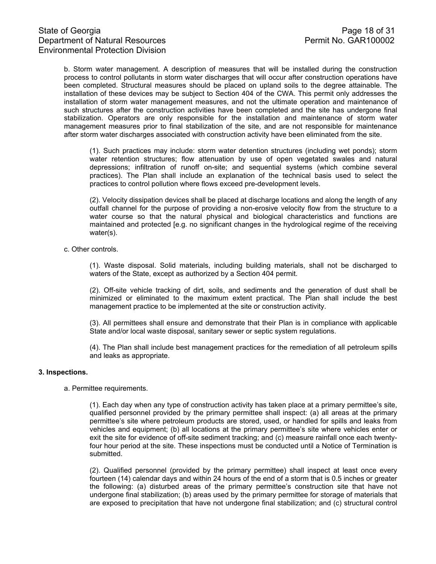b. Storm water management. A description of measures that will be installed during the construction process to control pollutants in storm water discharges that will occur after construction operations have been completed. Structural measures should be placed on upland soils to the degree attainable. The installation of these devices may be subject to Section 404 of the CWA. This permit only addresses the installation of storm water management measures, and not the ultimate operation and maintenance of such structures after the construction activities have been completed and the site has undergone final stabilization. Operators are only responsible for the installation and maintenance of storm water management measures prior to final stabilization of the site, and are not responsible for maintenance after storm water discharges associated with construction activity have been eliminated from the site.

(1). Such practices may include: storm water detention structures (including wet ponds); storm water retention structures; flow attenuation by use of open vegetated swales and natural depressions; infiltration of runoff on-site; and sequential systems (which combine several practices). The Plan shall include an explanation of the technical basis used to select the practices to control pollution where flows exceed pre-development levels.

(2). Velocity dissipation devices shall be placed at discharge locations and along the length of any outfall channel for the purpose of providing a non-erosive velocity flow from the structure to a water course so that the natural physical and biological characteristics and functions are maintained and protected [e.g. no significant changes in the hydrological regime of the receiving water(s).

c. Other controls.

(1). Waste disposal. Solid materials, including building materials, shall not be discharged to waters of the State, except as authorized by a Section 404 permit.

(2). Off-site vehicle tracking of dirt, soils, and sediments and the generation of dust shall be minimized or eliminated to the maximum extent practical. The Plan shall include the best management practice to be implemented at the site or construction activity.

(3). All permittees shall ensure and demonstrate that their Plan is in compliance with applicable State and/or local waste disposal, sanitary sewer or septic system regulations.

(4). The Plan shall include best management practices for the remediation of all petroleum spills and leaks as appropriate.

#### **3. Inspections.**

a. Permittee requirements.

(1). Each day when any type of construction activity has taken place at a primary permittee's site, qualified personnel provided by the primary permittee shall inspect: (a) all areas at the primary permittee's site where petroleum products are stored, used, or handled for spills and leaks from vehicles and equipment; (b) all locations at the primary permittee's site where vehicles enter or exit the site for evidence of off-site sediment tracking; and (c) measure rainfall once each twentyfour hour period at the site. These inspections must be conducted until a Notice of Termination is submitted.

(2). Qualified personnel (provided by the primary permittee) shall inspect at least once every fourteen (14) calendar days and within 24 hours of the end of a storm that is 0.5 inches or greater the following: (a) disturbed areas of the primary permittee's construction site that have not undergone final stabilization; (b) areas used by the primary permittee for storage of materials that are exposed to precipitation that have not undergone final stabilization; and (c) structural control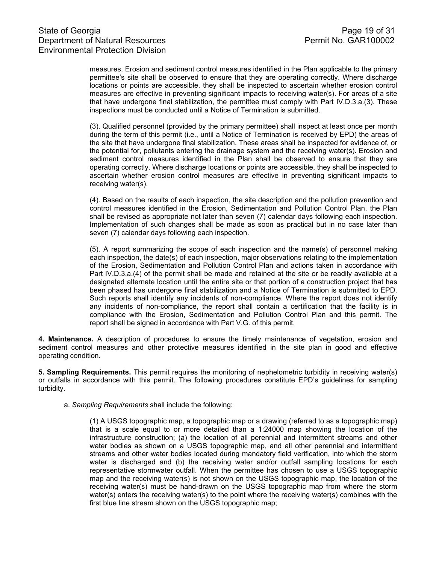measures. Erosion and sediment control measures identified in the Plan applicable to the primary permittee's site shall be observed to ensure that they are operating correctly. Where discharge locations or points are accessible, they shall be inspected to ascertain whether erosion control measures are effective in preventing significant impacts to receiving water(s). For areas of a site that have undergone final stabilization, the permittee must comply with Part IV.D.3.a.(3). These inspections must be conducted until a Notice of Termination is submitted.

(3). Qualified personnel (provided by the primary permittee) shall inspect at least once per month during the term of this permit (i.e., until a Notice of Termination is received by EPD) the areas of the site that have undergone final stabilization. These areas shall be inspected for evidence of, or the potential for, pollutants entering the drainage system and the receiving water(s). Erosion and sediment control measures identified in the Plan shall be observed to ensure that they are operating correctly. Where discharge locations or points are accessible, they shall be inspected to ascertain whether erosion control measures are effective in preventing significant impacts to receiving water(s).

(4). Based on the results of each inspection, the site description and the pollution prevention and control measures identified in the Erosion, Sedimentation and Pollution Control Plan, the Plan shall be revised as appropriate not later than seven (7) calendar days following each inspection. Implementation of such changes shall be made as soon as practical but in no case later than seven (7) calendar days following each inspection.

(5). A report summarizing the scope of each inspection and the name(s) of personnel making each inspection, the date(s) of each inspection, major observations relating to the implementation of the Erosion, Sedimentation and Pollution Control Plan and actions taken in accordance with Part IV.D.3.a.(4) of the permit shall be made and retained at the site or be readily available at a designated alternate location until the entire site or that portion of a construction project that has been phased has undergone final stabilization and a Notice of Termination is submitted to EPD. Such reports shall identify any incidents of non-compliance. Where the report does not identify any incidents of non-compliance, the report shall contain a certification that the facility is in compliance with the Erosion, Sedimentation and Pollution Control Plan and this permit. The report shall be signed in accordance with Part V.G. of this permit.

**4. Maintenance.** A description of procedures to ensure the timely maintenance of vegetation, erosion and sediment control measures and other protective measures identified in the site plan in good and effective operating condition.

**5. Sampling Requirements.** This permit requires the monitoring of nephelometric turbidity in receiving water(s) or outfalls in accordance with this permit. The following procedures constitute EPD's guidelines for sampling turbidity.

a. *Sampling Requirements* shall include the following:

(1) A USGS topographic map, a topographic map or a drawing (referred to as a topographic map) that is a scale equal to or more detailed than a 1:24000 map showing the location of the infrastructure construction; (a) the location of all perennial and intermittent streams and other water bodies as shown on a USGS topographic map, and all other perennial and intermittent streams and other water bodies located during mandatory field verification, into which the storm water is discharged and (b) the receiving water and/or outfall sampling locations for each representative stormwater outfall. When the permittee has chosen to use a USGS topographic map and the receiving water(s) is not shown on the USGS topographic map, the location of the receiving water(s) must be hand-drawn on the USGS topographic map from where the storm water(s) enters the receiving water(s) to the point where the receiving water(s) combines with the first blue line stream shown on the USGS topographic map;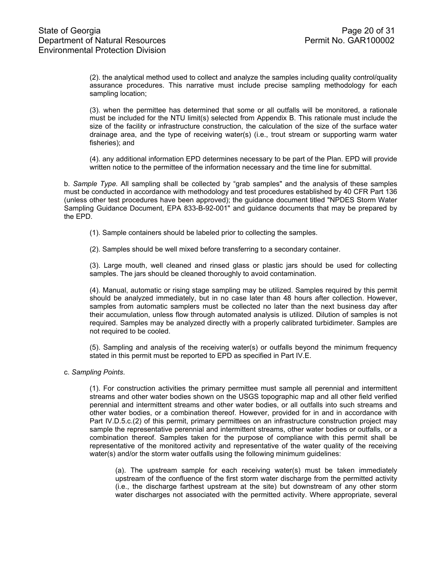(2). the analytical method used to collect and analyze the samples including quality control/quality assurance procedures. This narrative must include precise sampling methodology for each sampling location;

(3). when the permittee has determined that some or all outfalls will be monitored, a rationale must be included for the NTU limit(s) selected from Appendix B. This rationale must include the size of the facility or infrastructure construction, the calculation of the size of the surface water drainage area, and the type of receiving water(s) (i.e., trout stream or supporting warm water fisheries); and

(4). any additional information EPD determines necessary to be part of the Plan. EPD will provide written notice to the permittee of the information necessary and the time line for submittal.

b. *Sample Type.* All sampling shall be collected by "grab samples" and the analysis of these samples must be conducted in accordance with methodology and test procedures established by 40 CFR Part 136 (unless other test procedures have been approved); the guidance document titled "NPDES Storm Water Sampling Guidance Document, EPA 833-B-92-001" and guidance documents that may be prepared by the EPD.

- (1). Sample containers should be labeled prior to collecting the samples.
- (2). Samples should be well mixed before transferring to a secondary container.

(3). Large mouth, well cleaned and rinsed glass or plastic jars should be used for collecting samples. The jars should be cleaned thoroughly to avoid contamination.

(4). Manual, automatic or rising stage sampling may be utilized. Samples required by this permit should be analyzed immediately, but in no case later than 48 hours after collection. However, samples from automatic samplers must be collected no later than the next business day after their accumulation, unless flow through automated analysis is utilized. Dilution of samples is not required. Samples may be analyzed directly with a properly calibrated turbidimeter. Samples are not required to be cooled.

(5). Sampling and analysis of the receiving water(s) or outfalls beyond the minimum frequency stated in this permit must be reported to EPD as specified in Part IV.E.

c. *Sampling Points*.

(1). For construction activities the primary permittee must sample all perennial and intermittent streams and other water bodies shown on the USGS topographic map and all other field verified perennial and intermittent streams and other water bodies, or all outfalls into such streams and other water bodies, or a combination thereof. However, provided for in and in accordance with Part IV.D.5.c.(2) of this permit, primary permittees on an infrastructure construction project may sample the representative perennial and intermittent streams, other water bodies or outfalls, or a combination thereof. Samples taken for the purpose of compliance with this permit shall be representative of the monitored activity and representative of the water quality of the receiving water(s) and/or the storm water outfalls using the following minimum guidelines:

(a). The upstream sample for each receiving water(s) must be taken immediately upstream of the confluence of the first storm water discharge from the permitted activity (i.e., the discharge farthest upstream at the site) but downstream of any other storm water discharges not associated with the permitted activity. Where appropriate, several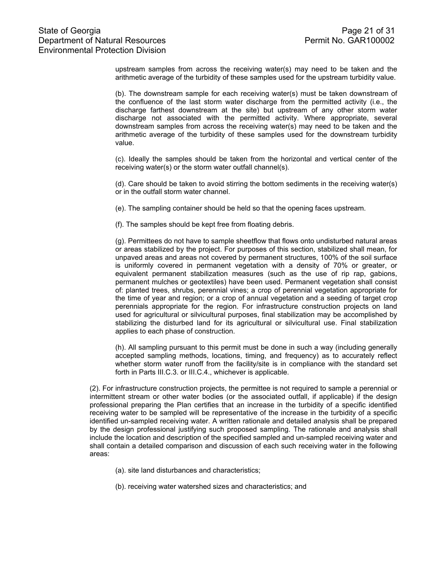upstream samples from across the receiving water(s) may need to be taken and the arithmetic average of the turbidity of these samples used for the upstream turbidity value.

(b). The downstream sample for each receiving water(s) must be taken downstream of the confluence of the last storm water discharge from the permitted activity (i.e., the discharge farthest downstream at the site) but upstream of any other storm water discharge not associated with the permitted activity. Where appropriate, several downstream samples from across the receiving water(s) may need to be taken and the arithmetic average of the turbidity of these samples used for the downstream turbidity value.

(c). Ideally the samples should be taken from the horizontal and vertical center of the receiving water(s) or the storm water outfall channel(s).

(d). Care should be taken to avoid stirring the bottom sediments in the receiving water(s) or in the outfall storm water channel.

(e). The sampling container should be held so that the opening faces upstream.

(f). The samples should be kept free from floating debris.

(g). Permittees do not have to sample sheetflow that flows onto undisturbed natural areas or areas stabilized by the project. For purposes of this section, stabilized shall mean, for unpaved areas and areas not covered by permanent structures, 100% of the soil surface is uniformly covered in permanent vegetation with a density of 70% or greater, or equivalent permanent stabilization measures (such as the use of rip rap, gabions, permanent mulches or geotextiles) have been used. Permanent vegetation shall consist of: planted trees, shrubs, perennial vines; a crop of perennial vegetation appropriate for the time of year and region; or a crop of annual vegetation and a seeding of target crop perennials appropriate for the region. For infrastructure construction projects on land used for agricultural or silvicultural purposes, final stabilization may be accomplished by stabilizing the disturbed land for its agricultural or silvicultural use. Final stabilization applies to each phase of construction.

(h). All sampling pursuant to this permit must be done in such a way (including generally accepted sampling methods, locations, timing, and frequency) as to accurately reflect whether storm water runoff from the facility/site is in compliance with the standard set forth in Parts III.C.3. or III.C.4., whichever is applicable.

 (2). For infrastructure construction projects, the permittee is not required to sample a perennial or intermittent stream or other water bodies (or the associated outfall, if applicable) if the design professional preparing the Plan certifies that an increase in the turbidity of a specific identified receiving water to be sampled will be representative of the increase in the turbidity of a specific identified un-sampled receiving water. A written rationale and detailed analysis shall be prepared by the design professional justifying such proposed sampling. The rationale and analysis shall include the location and description of the specified sampled and un-sampled receiving water and shall contain a detailed comparison and discussion of each such receiving water in the following areas:

- (a). site land disturbances and characteristics;
- (b). receiving water watershed sizes and characteristics; and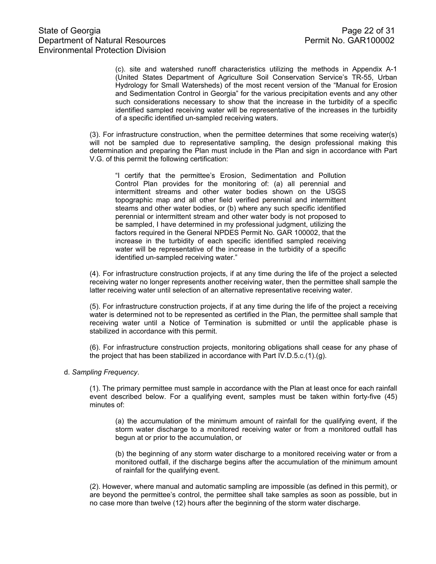(c). site and watershed runoff characteristics utilizing the methods in Appendix A-1 (United States Department of Agriculture Soil Conservation Service's TR-55, Urban Hydrology for Small Watersheds) of the most recent version of the "Manual for Erosion and Sedimentation Control in Georgia" for the various precipitation events and any other such considerations necessary to show that the increase in the turbidity of a specific identified sampled receiving water will be representative of the increases in the turbidity of a specific identified un-sampled receiving waters.

 (3). For infrastructure construction, when the permittee determines that some receiving water(s) will not be sampled due to representative sampling, the design professional making this determination and preparing the Plan must include in the Plan and sign in accordance with Part V.G. of this permit the following certification:

"I certify that the permittee's Erosion, Sedimentation and Pollution Control Plan provides for the monitoring of: (a) all perennial and intermittent streams and other water bodies shown on the USGS topographic map and all other field verified perennial and intermittent steams and other water bodies, or (b) where any such specific identified perennial or intermittent stream and other water body is not proposed to be sampled, I have determined in my professional judgment, utilizing the factors required in the General NPDES Permit No. GAR 100002, that the increase in the turbidity of each specific identified sampled receiving water will be representative of the increase in the turbidity of a specific identified un-sampled receiving water."

 (4). For infrastructure construction projects, if at any time during the life of the project a selected receiving water no longer represents another receiving water, then the permittee shall sample the latter receiving water until selection of an alternative representative receiving water.

 (5). For infrastructure construction projects, if at any time during the life of the project a receiving water is determined not to be represented as certified in the Plan, the permittee shall sample that receiving water until a Notice of Termination is submitted or until the applicable phase is stabilized in accordance with this permit.

 (6). For infrastructure construction projects, monitoring obligations shall cease for any phase of the project that has been stabilized in accordance with Part IV.D.5.c.(1).(g).

d. *Sampling Frequency*.

(1). The primary permittee must sample in accordance with the Plan at least once for each rainfall event described below. For a qualifying event, samples must be taken within forty-five (45) minutes of:

(a) the accumulation of the minimum amount of rainfall for the qualifying event, if the storm water discharge to a monitored receiving water or from a monitored outfall has begun at or prior to the accumulation, or

(b) the beginning of any storm water discharge to a monitored receiving water or from a monitored outfall, if the discharge begins after the accumulation of the minimum amount of rainfall for the qualifying event.

(2). However, where manual and automatic sampling are impossible (as defined in this permit), or are beyond the permittee's control, the permittee shall take samples as soon as possible, but in no case more than twelve (12) hours after the beginning of the storm water discharge.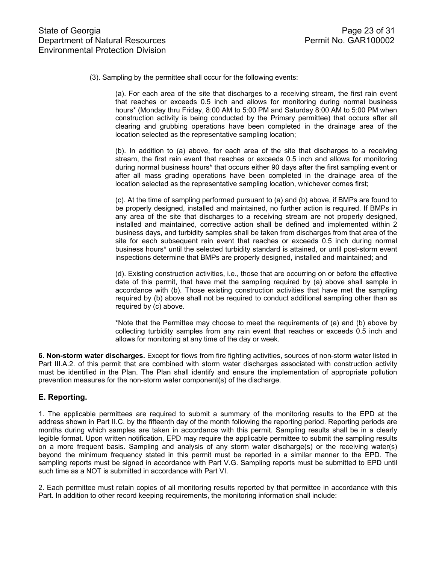(3). Sampling by the permittee shall occur for the following events:

(a). For each area of the site that discharges to a receiving stream, the first rain event that reaches or exceeds 0.5 inch and allows for monitoring during normal business hours\* (Monday thru Friday, 8:00 AM to 5:00 PM and Saturday 8:00 AM to 5:00 PM when construction activity is being conducted by the Primary permittee) that occurs after all clearing and grubbing operations have been completed in the drainage area of the location selected as the representative sampling location;

(b). In addition to (a) above, for each area of the site that discharges to a receiving stream, the first rain event that reaches or exceeds 0.5 inch and allows for monitoring during normal business hours\* that occurs either 90 days after the first sampling event or after all mass grading operations have been completed in the drainage area of the location selected as the representative sampling location, whichever comes first;

(c). At the time of sampling performed pursuant to (a) and (b) above, if BMPs are found to be properly designed, installed and maintained, no further action is required. If BMPs in any area of the site that discharges to a receiving stream are not properly designed, installed and maintained, corrective action shall be defined and implemented within 2 business days, and turbidity samples shall be taken from discharges from that area of the site for each subsequent rain event that reaches or exceeds 0.5 inch during normal business hours\* until the selected turbidity standard is attained, or until post-storm event inspections determine that BMPs are properly designed, installed and maintained; and

(d). Existing construction activities, i.e., those that are occurring on or before the effective date of this permit, that have met the sampling required by (a) above shall sample in accordance with (b). Those existing construction activities that have met the sampling required by (b) above shall not be required to conduct additional sampling other than as required by (c) above.

\*Note that the Permittee may choose to meet the requirements of (a) and (b) above by collecting turbidity samples from any rain event that reaches or exceeds 0.5 inch and allows for monitoring at any time of the day or week.

**6. Non-storm water discharges.** Except for flows from fire fighting activities, sources of non-storm water listed in Part III.A.2. of this permit that are combined with storm water discharges associated with construction activity must be identified in the Plan. The Plan shall identify and ensure the implementation of appropriate pollution prevention measures for the non-storm water component(s) of the discharge.

### **E. Reporting.**

1. The applicable permittees are required to submit a summary of the monitoring results to the EPD at the address shown in Part II.C. by the fifteenth day of the month following the reporting period. Reporting periods are months during which samples are taken in accordance with this permit. Sampling results shall be in a clearly legible format. Upon written notification, EPD may require the applicable permittee to submit the sampling results on a more frequent basis. Sampling and analysis of any storm water discharge(s) or the receiving water(s) beyond the minimum frequency stated in this permit must be reported in a similar manner to the EPD. The sampling reports must be signed in accordance with Part V.G. Sampling reports must be submitted to EPD until such time as a NOT is submitted in accordance with Part VI.

2. Each permittee must retain copies of all monitoring results reported by that permittee in accordance with this Part. In addition to other record keeping requirements, the monitoring information shall include: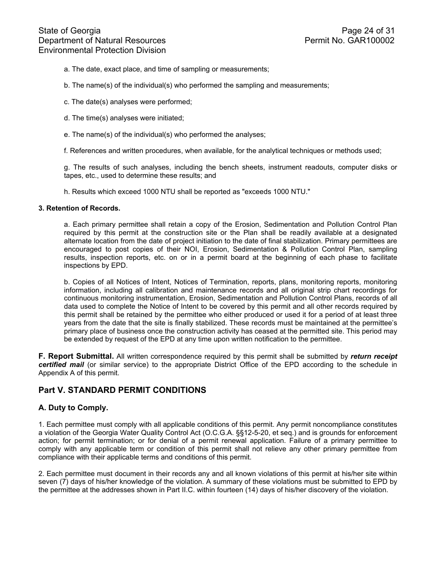- a. The date, exact place, and time of sampling or measurements;
- b. The name(s) of the individual(s) who performed the sampling and measurements;
- c. The date(s) analyses were performed;
- d. The time(s) analyses were initiated;
- e. The name(s) of the individual(s) who performed the analyses;
- f. References and written procedures, when available, for the analytical techniques or methods used;

g. The results of such analyses, including the bench sheets, instrument readouts, computer disks or tapes, etc., used to determine these results; and

h. Results which exceed 1000 NTU shall be reported as "exceeds 1000 NTU."

#### **3. Retention of Records.**

a. Each primary permittee shall retain a copy of the Erosion, Sedimentation and Pollution Control Plan required by this permit at the construction site or the Plan shall be readily available at a designated alternate location from the date of project initiation to the date of final stabilization. Primary permittees are encouraged to post copies of their NOI, Erosion, Sedimentation & Pollution Control Plan, sampling results, inspection reports, etc. on or in a permit board at the beginning of each phase to facilitate inspections by EPD.

b. Copies of all Notices of Intent, Notices of Termination, reports, plans, monitoring reports, monitoring information, including all calibration and maintenance records and all original strip chart recordings for continuous monitoring instrumentation, Erosion, Sedimentation and Pollution Control Plans, records of all data used to complete the Notice of Intent to be covered by this permit and all other records required by this permit shall be retained by the permittee who either produced or used it for a period of at least three years from the date that the site is finally stabilized. These records must be maintained at the permittee's primary place of business once the construction activity has ceased at the permitted site. This period may be extended by request of the EPD at any time upon written notification to the permittee.

**F. Report Submittal.** All written correspondence required by this permit shall be submitted by *return receipt certified mail* (or similar service) to the appropriate District Office of the EPD according to the schedule in Appendix A of this permit.

## **Part V. STANDARD PERMIT CONDITIONS**

### **A. Duty to Comply.**

1. Each permittee must comply with all applicable conditions of this permit. Any permit noncompliance constitutes a violation of the Georgia Water Quality Control Act (O.C.G.A. §§12-5-20, et seq.) and is grounds for enforcement action; for permit termination; or for denial of a permit renewal application. Failure of a primary permittee to comply with any applicable term or condition of this permit shall not relieve any other primary permittee from compliance with their applicable terms and conditions of this permit.

2. Each permittee must document in their records any and all known violations of this permit at his/her site within seven (7) days of his/her knowledge of the violation. A summary of these violations must be submitted to EPD by the permittee at the addresses shown in Part II.C. within fourteen (14) days of his/her discovery of the violation.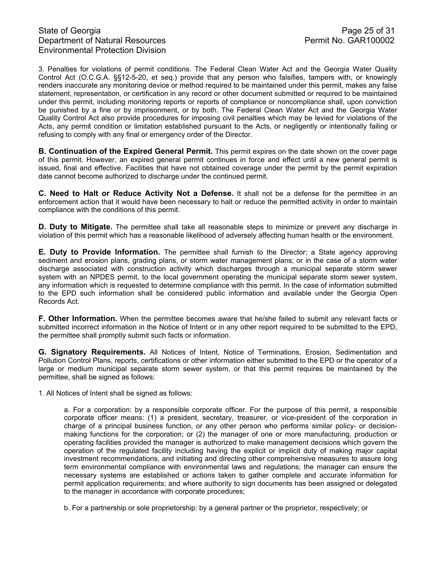## State of Georgia **Page 25 of 31** Department of Natural Resources **Permit No. GAR100002** Environmental Protection Division

3. Penalties for violations of permit conditions. The Federal Clean Water Act and the Georgia Water Quality Control Act (O.C.G.A. §§12-5-20, et seq.) provide that any person who falsifies, tampers with, or knowingly renders inaccurate any monitoring device or method required to be maintained under this permit, makes any false statement, representation, or certification in any record or other document submitted or required to be maintained under this permit, including monitoring reports or reports of compliance or noncompliance shall, upon conviction be punished by a fine or by imprisonment, or by both. The Federal Clean Water Act and the Georgia Water Quality Control Act also provide procedures for imposing civil penalties which may be levied for violations of the Acts, any permit condition or limitation established pursuant to the Acts, or negligently or intentionally failing or refusing to comply with any final or emergency order of the Director.

**B. Continuation of the Expired General Permit.** This permit expires on the date shown on the cover page of this permit. However, an expired general permit continues in force and effect until a new general permit is issued, final and effective. Facilities that have not obtained coverage under the permit by the permit expiration date cannot become authorized to discharge under the continued permit.

**C. Need to Halt or Reduce Activity Not a Defense.** It shall not be a defense for the permittee in an enforcement action that it would have been necessary to halt or reduce the permitted activity in order to maintain compliance with the conditions of this permit.

**D. Duty to Mitigate.** The permittee shall take all reasonable steps to minimize or prevent any discharge in violation of this permit which has a reasonable likelihood of adversely affecting human health or the environment.

**E. Duty to Provide Information.** The permittee shall furnish to the Director; a State agency approving sediment and erosion plans, grading plans, or storm water management plans; or in the case of a storm water discharge associated with construction activity which discharges through a municipal separate storm sewer system with an NPDES permit, to the local government operating the municipal separate storm sewer system, any information which is requested to determine compliance with this permit. In the case of information submitted to the EPD such information shall be considered public information and available under the Georgia Open Records Act.

**F. Other Information.** When the permittee becomes aware that he/she failed to submit any relevant facts or submitted incorrect information in the Notice of Intent or in any other report required to be submitted to the EPD, the permittee shall promptly submit such facts or information.

**G. Signatory Requirements.** All Notices of Intent, Notice of Terminations, Erosion, Sedimentation and Pollution Control Plans, reports, certifications or other information either submitted to the EPD or the operator of a large or medium municipal separate storm sewer system, or that this permit requires be maintained by the permittee, shall be signed as follows:

1. All Notices of Intent shall be signed as follows:

a. For a corporation: by a responsible corporate officer. For the purpose of this permit, a responsible corporate officer means: (1) a president, secretary, treasurer, or vice-president of the corporation in charge of a principal business function, or any other person who performs similar policy- or decisionmaking functions for the corporation; or (2) the manager of one or more manufacturing, production or operating facilities provided the manager is authorized to make management decisions which govern the operation of the regulated facility including having the explicit or implicit duty of making major capital investment recommendations, and initiating and directing other comprehensive measures to assure long term environmental compliance with environmental laws and regulations; the manager can ensure the necessary systems are established or actions taken to gather complete and accurate information for permit application requirements; and where authority to sign documents has been assigned or delegated to the manager in accordance with corporate procedures;

b. For a partnership or sole proprietorship: by a general partner or the proprietor, respectively; or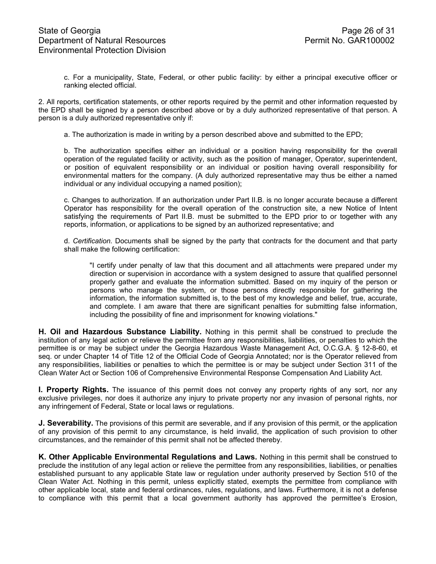c. For a municipality, State, Federal, or other public facility: by either a principal executive officer or ranking elected official.

2. All reports, certification statements, or other reports required by the permit and other information requested by the EPD shall be signed by a person described above or by a duly authorized representative of that person. A person is a duly authorized representative only if:

a. The authorization is made in writing by a person described above and submitted to the EPD;

b. The authorization specifies either an individual or a position having responsibility for the overall operation of the regulated facility or activity, such as the position of manager, Operator, superintendent, or position of equivalent responsibility or an individual or position having overall responsibility for environmental matters for the company. (A duly authorized representative may thus be either a named individual or any individual occupying a named position);

c. Changes to authorization. If an authorization under Part II.B. is no longer accurate because a different Operator has responsibility for the overall operation of the construction site, a new Notice of Intent satisfying the requirements of Part II.B. must be submitted to the EPD prior to or together with any reports, information, or applications to be signed by an authorized representative; and

d. *Certification.* Documents shall be signed by the party that contracts for the document and that party shall make the following certification:

 "I certify under penalty of law that this document and all attachments were prepared under my direction or supervision in accordance with a system designed to assure that qualified personnel properly gather and evaluate the information submitted. Based on my inquiry of the person or persons who manage the system, or those persons directly responsible for gathering the information, the information submitted is, to the best of my knowledge and belief, true, accurate, and complete. I am aware that there are significant penalties for submitting false information, including the possibility of fine and imprisonment for knowing violations."

**H. Oil and Hazardous Substance Liability.** Nothing in this permit shall be construed to preclude the institution of any legal action or relieve the permittee from any responsibilities, liabilities, or penalties to which the permittee is or may be subject under the Georgia Hazardous Waste Management Act, O.C.G.A. § 12-8-60, et seq. or under Chapter 14 of Title 12 of the Official Code of Georgia Annotated; nor is the Operator relieved from any responsibilities, liabilities or penalties to which the permittee is or may be subject under Section 311 of the Clean Water Act or Section 106 of Comprehensive Environmental Response Compensation And Liability Act.

**I. Property Rights.** The issuance of this permit does not convey any property rights of any sort, nor any exclusive privileges, nor does it authorize any injury to private property nor any invasion of personal rights, nor any infringement of Federal, State or local laws or regulations.

**J. Severability.** The provisions of this permit are severable, and if any provision of this permit, or the application of any provision of this permit to any circumstance, is held invalid, the application of such provision to other circumstances, and the remainder of this permit shall not be affected thereby.

**K. Other Applicable Environmental Regulations and Laws.** Nothing in this permit shall be construed to preclude the institution of any legal action or relieve the permittee from any responsibilities, liabilities, or penalties established pursuant to any applicable State law or regulation under authority preserved by Section 510 of the Clean Water Act. Nothing in this permit, unless explicitly stated, exempts the permittee from compliance with other applicable local, state and federal ordinances, rules, regulations, and laws. Furthermore, it is not a defense to compliance with this permit that a local government authority has approved the permittee's Erosion,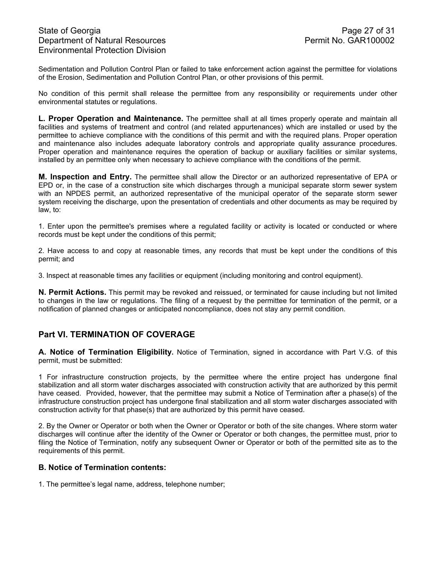Sedimentation and Pollution Control Plan or failed to take enforcement action against the permittee for violations of the Erosion, Sedimentation and Pollution Control Plan, or other provisions of this permit.

No condition of this permit shall release the permittee from any responsibility or requirements under other environmental statutes or regulations.

**L. Proper Operation and Maintenance.** The permittee shall at all times properly operate and maintain all facilities and systems of treatment and control (and related appurtenances) which are installed or used by the permittee to achieve compliance with the conditions of this permit and with the required plans. Proper operation and maintenance also includes adequate laboratory controls and appropriate quality assurance procedures. Proper operation and maintenance requires the operation of backup or auxiliary facilities or similar systems, installed by an permittee only when necessary to achieve compliance with the conditions of the permit.

**M. Inspection and Entry.** The permittee shall allow the Director or an authorized representative of EPA or EPD or, in the case of a construction site which discharges through a municipal separate storm sewer system with an NPDES permit, an authorized representative of the municipal operator of the separate storm sewer system receiving the discharge, upon the presentation of credentials and other documents as may be required by law, to:

1. Enter upon the permittee's premises where a regulated facility or activity is located or conducted or where records must be kept under the conditions of this permit;

2. Have access to and copy at reasonable times, any records that must be kept under the conditions of this permit; and

3. Inspect at reasonable times any facilities or equipment (including monitoring and control equipment).

**N. Permit Actions.** This permit may be revoked and reissued, or terminated for cause including but not limited to changes in the law or regulations. The filing of a request by the permittee for termination of the permit, or a notification of planned changes or anticipated noncompliance, does not stay any permit condition.

# **Part VI. TERMINATION OF COVERAGE**

**A. Notice of Termination Eligibility.** Notice of Termination, signed in accordance with Part V.G. of this permit, must be submitted:

1 For infrastructure construction projects, by the permittee where the entire project has undergone final stabilization and all storm water discharges associated with construction activity that are authorized by this permit have ceased. Provided, however, that the permittee may submit a Notice of Termination after a phase(s) of the infrastructure construction project has undergone final stabilization and all storm water discharges associated with construction activity for that phase(s) that are authorized by this permit have ceased.

2. By the Owner or Operator or both when the Owner or Operator or both of the site changes. Where storm water discharges will continue after the identity of the Owner or Operator or both changes, the permittee must, prior to filing the Notice of Termination, notify any subsequent Owner or Operator or both of the permitted site as to the requirements of this permit.

### **B. Notice of Termination contents:**

1. The permittee's legal name, address, telephone number;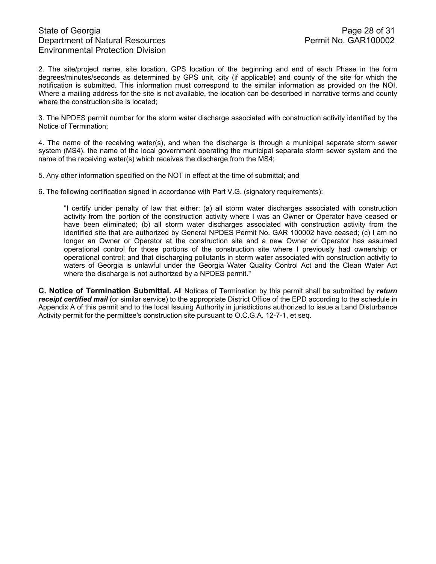## State of Georgia **Page 28 of 31** Department of Natural Resources **Permit No. GAR100002** Environmental Protection Division

2. The site/project name, site location, GPS location of the beginning and end of each Phase in the form degrees/minutes/seconds as determined by GPS unit, city (if applicable) and county of the site for which the notification is submitted. This information must correspond to the similar information as provided on the NOI. Where a mailing address for the site is not available, the location can be described in narrative terms and county where the construction site is located;

3. The NPDES permit number for the storm water discharge associated with construction activity identified by the Notice of Termination;

4. The name of the receiving water(s), and when the discharge is through a municipal separate storm sewer system (MS4), the name of the local government operating the municipal separate storm sewer system and the name of the receiving water(s) which receives the discharge from the MS4;

5. Any other information specified on the NOT in effect at the time of submittal; and

6. The following certification signed in accordance with Part V.G. (signatory requirements):

"I certify under penalty of law that either: (a) all storm water discharges associated with construction activity from the portion of the construction activity where I was an Owner or Operator have ceased or have been eliminated; (b) all storm water discharges associated with construction activity from the identified site that are authorized by General NPDES Permit No. GAR 100002 have ceased; (c) I am no longer an Owner or Operator at the construction site and a new Owner or Operator has assumed operational control for those portions of the construction site where I previously had ownership or operational control; and that discharging pollutants in storm water associated with construction activity to waters of Georgia is unlawful under the Georgia Water Quality Control Act and the Clean Water Act where the discharge is not authorized by a NPDES permit."

**C. Notice of Termination Submittal.** All Notices of Termination by this permit shall be submitted by *return receipt certified mail* (or similar service) to the appropriate District Office of the EPD according to the schedule in Appendix A of this permit and to the local Issuing Authority in jurisdictions authorized to issue a Land Disturbance Activity permit for the permittee's construction site pursuant to O.C.G.A. 12-7-1, et seq.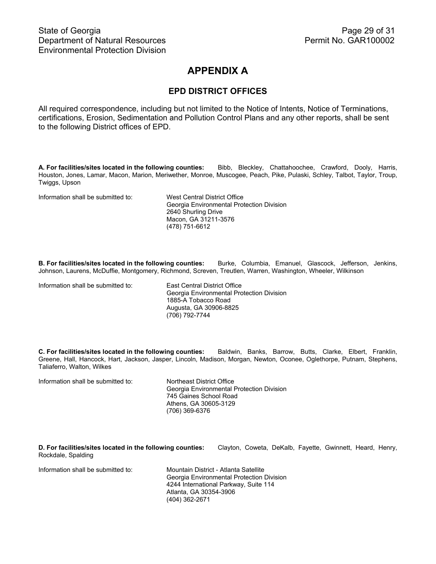# **APPENDIX A**

## **EPD DISTRICT OFFICES**

All required correspondence, including but not limited to the Notice of Intents, Notice of Terminations, certifications, Erosion, Sedimentation and Pollution Control Plans and any other reports, shall be sent to the following District offices of EPD.

**A. For facilities/sites located in the following counties:** Bibb, Bleckley, Chattahoochee, Crawford, Dooly, Harris, Houston, Jones, Lamar, Macon, Marion, Meriwether, Monroe, Muscogee, Peach, Pike, Pulaski, Schley, Talbot, Taylor, Troup, Twiggs, Upson

Information shall be submitted to: West Central District Office

Georgia Environmental Protection Division 2640 Shurling Drive Macon, GA 31211-3576 (478) 751-6612

**B. For facilities/sites located in the following counties:** Burke, Columbia, Emanuel, Glascock, Jefferson, Jenkins, Johnson, Laurens, McDuffie, Montgomery, Richmond, Screven, Treutlen, Warren, Washington, Wheeler, Wilkinson

Information shall be submitted to: East Central District Office

 Georgia Environmental Protection Division 1885-A Tobacco Road Augusta, GA 30906-8825 (706) 792-7744

**C. For facilities/sites located in the following counties:** Baldwin, Banks, Barrow, Butts, Clarke, Elbert, Franklin, Greene, Hall, Hancock, Hart, Jackson, Jasper, Lincoln, Madison, Morgan, Newton, Oconee, Oglethorpe, Putnam, Stephens, Taliaferro, Walton, Wilkes

Information shall be submitted to: Northeast District Office Georgia Environmental Protection Division 745 Gaines School Road Athens, GA 30605-3129 (706) 369-6376

**D. For facilities/sites located in the following counties:** Clayton, Coweta, DeKalb, Fayette, Gwinnett, Heard, Henry, Rockdale, Spalding

Information shall be submitted to: Mountain District - Atlanta Satellite

Georgia Environmental Protection Division 4244 International Parkway, Suite 114 Atlanta, GA 30354-3906 (404) 362-2671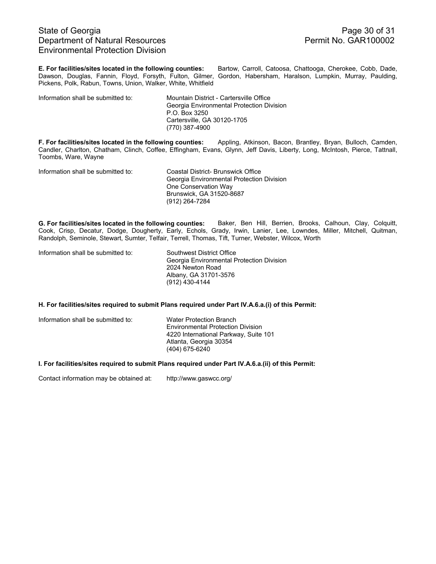## State of Georgia **Page 30 of 31** Department of Natural Resources **Permit No. GAR100002** Environmental Protection Division

**E. For facilities/sites located in the following counties:** Bartow, Carroll, Catoosa, Chattooga, Cherokee, Cobb, Dade, Dawson, Douglas, Fannin, Floyd, Forsyth, Fulton, Gilmer, Gordon, Habersham, Haralson, Lumpkin, Murray, Paulding, Pickens, Polk, Rabun, Towns, Union, Walker, White, Whitfield

Information shall be submitted to: Mountain District - Cartersville Office

 Georgia Environmental Protection Division P.O. Box 3250 Cartersville, GA 30120-1705 (770) 387-4900

**F. For facilities/sites located in the following counties:** Appling, Atkinson, Bacon, Brantley, Bryan, Bulloch, Camden, Candler, Charlton, Chatham, Clinch, Coffee, Effingham, Evans, Glynn, Jeff Davis, Liberty, Long, McIntosh, Pierce, Tattnall, Toombs, Ware, Wayne

Information shall be submitted to: Coastal District- Brunswick Office

Georgia Environmental Protection Division One Conservation Way Brunswick, GA 31520-8687 (912) 264-7284

**G. For facilities/sites located in the following counties:** Baker, Ben Hill, Berrien, Brooks, Calhoun, Clay, Colquitt, Cook, Crisp, Decatur, Dodge, Dougherty, Early, Echols, Grady, Irwin, Lanier, Lee, Lowndes, Miller, Mitchell, Quitman, Randolph, Seminole, Stewart, Sumter, Telfair, Terrell, Thomas, Tift, Turner, Webster, Wilcox, Worth

| Information shall be submitted to: | Southwest District Office                 |
|------------------------------------|-------------------------------------------|
|                                    | Georgia Environmental Protection Division |
|                                    | 2024 Newton Road                          |
|                                    | Albany, GA 31701-3576                     |
|                                    | $(912)$ 430-4144                          |

#### **H. For facilities/sites required to submit Plans required under Part IV.A.6.a.(i) of this Permit:**

Information shall be submitted to: Water Protection Branch Environmental Protection Division 4220 International Parkway, Suite 101 Atlanta, Georgia 30354 (404) 675-6240

**I. For facilities/sites required to submit Plans required under Part IV.A.6.a.(ii) of this Permit:** 

Contact information may be obtained at: http://www.gaswcc.org/